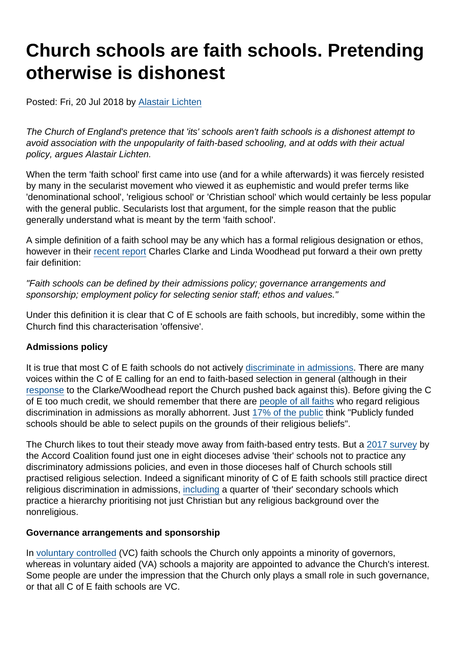# Church schools are faith schools. Pretending otherwise is dishonest

Posted: Fri, 20 Jul 2018 by [Alastair Lichten](https://www.secularism.org.uk/opinion/authors/847)

The Church of England's pretence that 'its' schools aren't faith schools is a dishonest attempt to avoid association with the unpopularity of faith-based schooling, and at odds with their actual policy, argues Alastair Lichten.

When the term 'faith school' first came into use (and for a while afterwards) it was fiercely resisted by many in the secularist movement who viewed it as euphemistic and would prefer terms like 'denominational school', 'religious school' or 'Christian school' which would certainly be less popular with the general public. Secularists lost that argument, for the simple reason that the public generally understand what is meant by the term 'faith school'.

A simple definition of a faith school may be any which has a formal religious designation or ethos, however in their [recent report](https://www.secularism.org.uk/news/2018/07/former-education-secretary-renews-call-for-reform-of-religion-in-schools) Charles Clarke and Linda Woodhead put forward a their own pretty fair definition:

"Faith schools can be defined by their admissions policy; governance arrangements and sponsorship; employment policy for selecting senior staff; ethos and values."

Under this definition it is clear that C of E schools are faith schools, but incredibly, some within the Church find this characterisation 'offensive'.

### Admissions policy

It is true that most C of E faith schools do not actively [discriminate in admissions.](https://www.secularism.org.uk/faith-schools/end-pupil-discrimination.html) There are many voices within the C of E calling for an end to faith-based selection in general (although in their [response](https://www.churchofengland.org/more/media-centre/news/new-settlement-revised-religion-and-belief-schools-church-england-response) to the Clarke/Woodhead report the Church pushed back against this). Before giving the C of E too much credit, we should remember that there are [people of all faiths](https://www.secularism.org.uk/uploads/majority-of-all-religious-and-belief-groups-oppose-religious-selection-in-school-admissions-17.pdf) who regard religious discrimination in admissions as morally abhorrent. Just [17% of the public](https://www.secularism.org.uk/news/2018/06/british-public-opposes-religious-influence-in-education-poll-finds) think "Publicly funded schools should be able to select pupils on the grounds of their religious beliefs".

The Church likes to tout their steady move away from faith-based entry tests. But a [2017 survey](https://www.secularism.org.uk/news/2017/11/church-of-england-misselling-school-admissions-policies--report) by the Accord Coalition found just one in eight dioceses advise 'their' schools not to practice any discriminatory admissions policies, and even in those dioceses half of Church schools still practised religious selection. Indeed a significant minority of C of E faith schools still practice direct religious discrimination in admissions, [including](https://www.secularism.org.uk/news/2017/11/church-of-england-misselling-school-admissions-policies--report) a quarter of 'their' secondary schools which practice a hierarchy prioritising not just Christian but any religious background over the nonreligious.

### Governance arrangements and sponsorship

In [voluntary controlled](https://www.secularism.org.uk/faith-schools/what-types-of-school-are-there.html) (VC) faith schools the Church only appoints a minority of governors, whereas in voluntary aided (VA) schools a majority are appointed to advance the Church's interest. Some people are under the impression that the Church only plays a small role in such governance, or that all C of E faith schools are VC.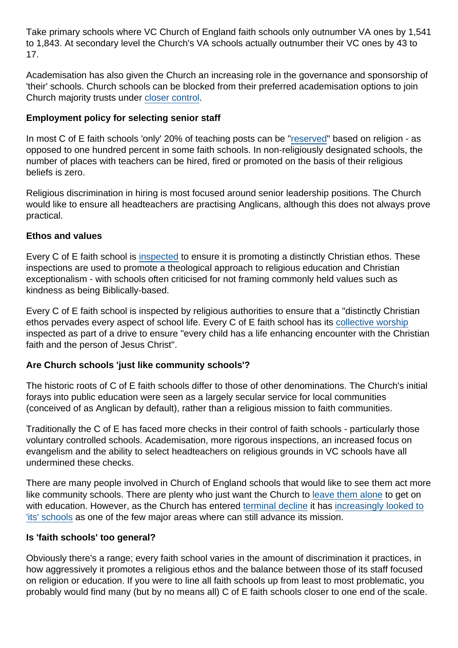Take primary schools where VC Church of England faith schools only outnumber VA ones by 1,541 to 1,843. At secondary level the Church's VA schools actually outnumber their VC ones by 43 to 17.

Academisation has also given the Church an increasing role in the governance and sponsorship of 'their' schools. Church schools can be blocked from their preferred academisation options to join Church majority trusts under [closer control](https://www.secularism.org.uk/news/2017/01/faith-school-heads-and-governors-raise-concerns-about-academy-religious-takeovers).

Employment policy for selecting senior staff

In most C of E faith schools 'only' 20% of teaching posts can be ["reserved](https://www.secularism.org.uk/faith-schools/end-employment-discrimination.html)" based on religion - as opposed to one hundred percent in some faith schools. In non-religiously designated schools, the number of places with teachers can be hired, fired or promoted on the basis of their religious beliefs is zero.

Religious discrimination in hiring is most focused around senior leadership positions. The Church would like to ensure all headteachers are practising Anglicans, although this does not always prove practical.

### Ethos and values

Every C of E faith school is [inspected](https://www.nomorefaithschools.org/news/2018/05/state-funded-religiosity-inspections-of-faith-schools-have-to-end) to ensure it is promoting a distinctly Christian ethos. These inspections are used to promote a theological approach to religious education and Christian exceptionalism - with schools often criticised for not framing commonly held values such as kindness as being Biblically-based.

Every C of E faith school is inspected by religious authorities to ensure that a "distinctly Christian ethos pervades every aspect of school life. Every C of E faith school has its [collective worship](https://www.secularism.org.uk/end-compulsory-worship/) inspected as part of a drive to ensure "every child has a life enhancing encounter with the Christian faith and the person of Jesus Christ".

Are Church schools 'just like community schools'?

The historic roots of C of E faith schools differ to those of other denominations. The Church's initial forays into public education were seen as a largely secular service for local communities (conceived of as Anglican by default), rather than a religious mission to faith communities.

Traditionally the C of E has faced more checks in their control of faith schools - particularly those voluntary controlled schools. Academisation, more rigorous inspections, an increased focus on evangelism and the ability to select headteachers on religious grounds in VC schools have all undermined these checks.

There are many people involved in Church of England schools that would like to see them act more like community schools. There are plenty who just want the Church to [leave them alone](https://www.secularism.org.uk/opinion/2016/08/governors-perspective-beware-an-increasingly-assertive-religious-ethos-in-church-schools) to get on with education. However, as the Church has entered [terminal decline](https://www.secularism.org.uk/news/2017/09/more-than-half-of-brits-now-non-religious-study-finds) it has [increasingly looked to](https://www.secularism.org.uk/news/2012/03/church-of-england-proposes-large-scale-expansion-of-its-influence-in-education) ['its' schools](https://www.secularism.org.uk/news/2012/03/church-of-england-proposes-large-scale-expansion-of-its-influence-in-education) as one of the few major areas where can still advance its mission.

### Is 'faith schools' too general?

Obviously there's a range; every faith school varies in the amount of discrimination it practices, in how aggressively it promotes a religious ethos and the balance between those of its staff focused on religion or education. If you were to line all faith schools up from least to most problematic, you probably would find many (but by no means all) C of E faith schools closer to one end of the scale.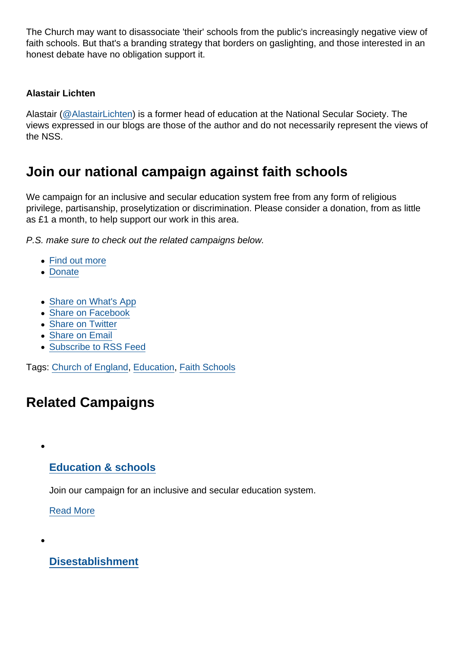The Church may want to disassociate 'their' schools from the public's increasingly negative view of faith schools. But that's a branding strategy that borders on gaslighting, and those interested in an honest debate have no obligation support it.

### Alastair Lichten

Alastair [\(@AlastairLichten](https://twitter.com/alastairlichten)) is a former head of education at the National Secular Society. The views expressed in our blogs are those of the author and do not necessarily represent the views of the NSS.

## Join our national campaign against faith schools

We campaign for an inclusive and secular education system free from any form of religious privilege, partisanship, proselytization or discrimination. Please consider a donation, from as little as £1 a month, to help support our work in this area.

P.S. make sure to check out the related campaigns below.

- [Find out more](https://www.secularism.org.uk/faith-schools/)
- [Donate](https://www.secularism.org.uk/donate.html)
- [Share on What's App](whatsapp://send?text=http://www.secularism.org.uk/opinion/2018/07/church-schools-are-faith-schools-pretending-otherwise-is-dishonest?format=pdf)
- [Share on Facebook](https://www.facebook.com/sharer/sharer.php?u=http://www.secularism.org.uk/opinion/2018/07/church-schools-are-faith-schools-pretending-otherwise-is-dishonest?format=pdf&t=Church+schools+are+faith+schools.+Pretending+otherwise+is+dishonest)
- [Share on Twitter](https://twitter.com/intent/tweet?url=http://www.secularism.org.uk/opinion/2018/07/church-schools-are-faith-schools-pretending-otherwise-is-dishonest?format=pdf&text=Church+schools+are+faith+schools.+Pretending+otherwise+is+dishonest&via=NatSecSoc)
- [Share on Email](https://www.secularism.org.uk/share.html?url=http://www.secularism.org.uk/opinion/2018/07/church-schools-are-faith-schools-pretending-otherwise-is-dishonest?format=pdf&title=Church+schools+are+faith+schools.+Pretending+otherwise+is+dishonest)
- [Subscribe to RSS Feed](/mnt/web-data/www/cp-nss/feeds/rss/news)

Tags: [Church of England,](https://www.secularism.org.uk/opinion/tags/Church+of+England) [Education,](https://www.secularism.org.uk/opinion/tags/Education) [Faith Schools](https://www.secularism.org.uk/opinion/tags/Faith+Schools)

# Related Campaigns

### [Education & schools](https://www.secularism.org.uk/education/)

Join our campaign for an inclusive and secular education system.

[Read More](https://www.secularism.org.uk/education/)

 $\bullet$ 

[Disestablishment](https://www.secularism.org.uk/disestablishment/)